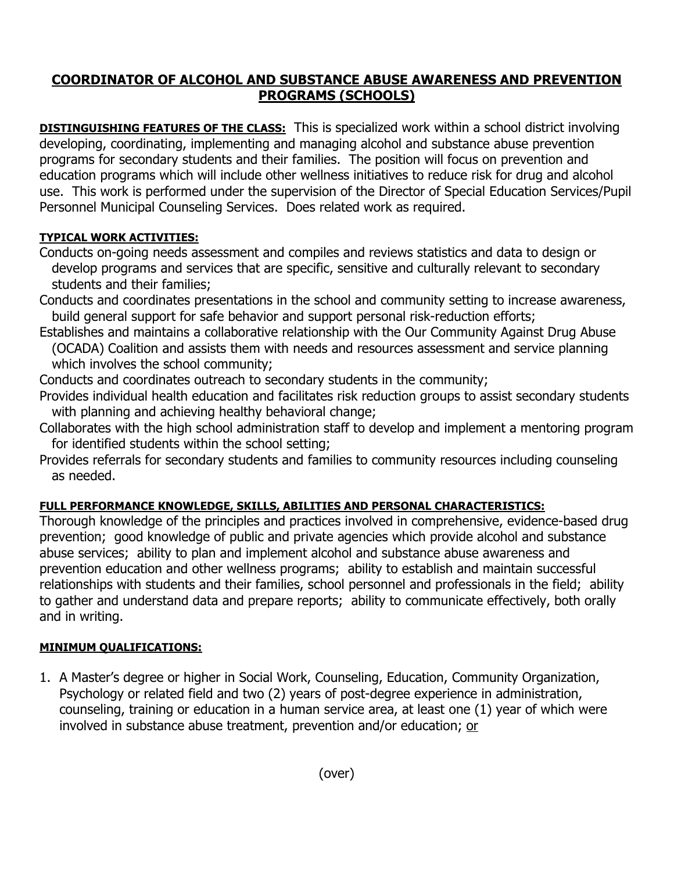## **COORDINATOR OF ALCOHOL AND SUBSTANCE ABUSE AWARENESS AND PREVENTION PROGRAMS (SCHOOLS)**

**DISTINGUISHING FEATURES OF THE CLASS:** This is specialized work within a school district involving developing, coordinating, implementing and managing alcohol and substance abuse prevention programs for secondary students and their families. The position will focus on prevention and education programs which will include other wellness initiatives to reduce risk for drug and alcohol use. This work is performed under the supervision of the Director of Special Education Services/Pupil Personnel Municipal Counseling Services. Does related work as required.

## **TYPICAL WORK ACTIVITIES:**

- Conducts on-going needs assessment and compiles and reviews statistics and data to design or develop programs and services that are specific, sensitive and culturally relevant to secondary students and their families;
- Conducts and coordinates presentations in the school and community setting to increase awareness, build general support for safe behavior and support personal risk-reduction efforts;
- Establishes and maintains a collaborative relationship with the Our Community Against Drug Abuse (OCADA) Coalition and assists them with needs and resources assessment and service planning which involves the school community;
- Conducts and coordinates outreach to secondary students in the community;
- Provides individual health education and facilitates risk reduction groups to assist secondary students with planning and achieving healthy behavioral change;
- Collaborates with the high school administration staff to develop and implement a mentoring program for identified students within the school setting;
- Provides referrals for secondary students and families to community resources including counseling as needed.

## **FULL PERFORMANCE KNOWLEDGE, SKILLS, ABILITIES AND PERSONAL CHARACTERISTICS:**

Thorough knowledge of the principles and practices involved in comprehensive, evidence-based drug prevention; good knowledge of public and private agencies which provide alcohol and substance abuse services; ability to plan and implement alcohol and substance abuse awareness and prevention education and other wellness programs; ability to establish and maintain successful relationships with students and their families, school personnel and professionals in the field; ability to gather and understand data and prepare reports; ability to communicate effectively, both orally and in writing.

## **MINIMUM QUALIFICATIONS:**

1. A Master's degree or higher in Social Work, Counseling, Education, Community Organization, Psychology or related field and two (2) years of post-degree experience in administration, counseling, training or education in a human service area, at least one (1) year of which were involved in substance abuse treatment, prevention and/or education; or